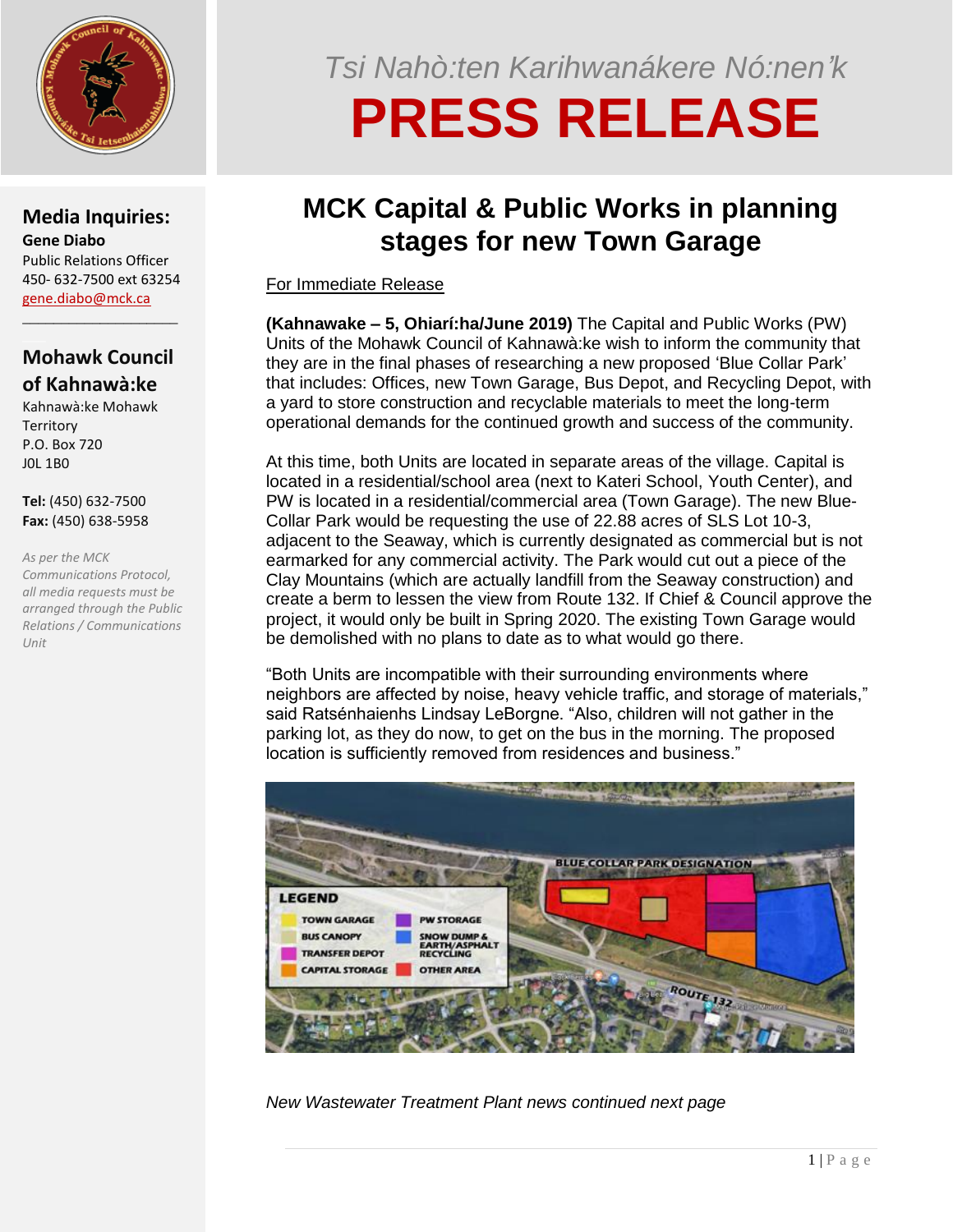

#### **Media Inquiries: Gene Diabo** Public Relations Officer 450- 632-7500 ext 63254 [gene.diabo@mck.ca](mailto:gene.diabo@mck.ca)

### **Mohawk Council of Kahnawà:ke**

\_\_\_\_\_\_\_\_\_\_\_\_\_\_\_\_\_\_\_\_

Kahnawà:ke Mohawk **Territory** P.O. Box 720 J0L 1B0

**Tel:** (450) 632-7500 **Fax:** (450) 638-5958

*As per the MCK Communications Protocol, all media requests must be arranged through the Public Relations / Communications Unit*

## *Tsi Nahò:ten Karihwanákere Nó:nen'k*

# **PRESS RELEASE**

### **MCK Capital & Public Works in planning stages for new Town Garage**

For Immediate Release

**(Kahnawake – 5, Ohiarí:ha/June 2019)** The Capital and Public Works (PW) Units of the Mohawk Council of Kahnawà:ke wish to inform the community that they are in the final phases of researching a new proposed 'Blue Collar Park' that includes: Offices, new Town Garage, Bus Depot, and Recycling Depot, with a yard to store construction and recyclable materials to meet the long-term operational demands for the continued growth and success of the community.

At this time, both Units are located in separate areas of the village. Capital is located in a residential/school area (next to Kateri School, Youth Center), and PW is located in a residential/commercial area (Town Garage). The new Blue-Collar Park would be requesting the use of 22.88 acres of SLS Lot 10-3, adjacent to the Seaway, which is currently designated as commercial but is not earmarked for any commercial activity. The Park would cut out a piece of the Clay Mountains (which are actually landfill from the Seaway construction) and create a berm to lessen the view from Route 132. If Chief & Council approve the project, it would only be built in Spring 2020. The existing Town Garage would be demolished with no plans to date as to what would go there.

"Both Units are incompatible with their surrounding environments where neighbors are affected by noise, heavy vehicle traffic, and storage of materials," said Ratsénhaienhs Lindsay LeBorgne. "Also, children will not gather in the parking lot, as they do now, to get on the bus in the morning. The proposed location is sufficiently removed from residences and business."



*New Wastewater Treatment Plant news continued next page*